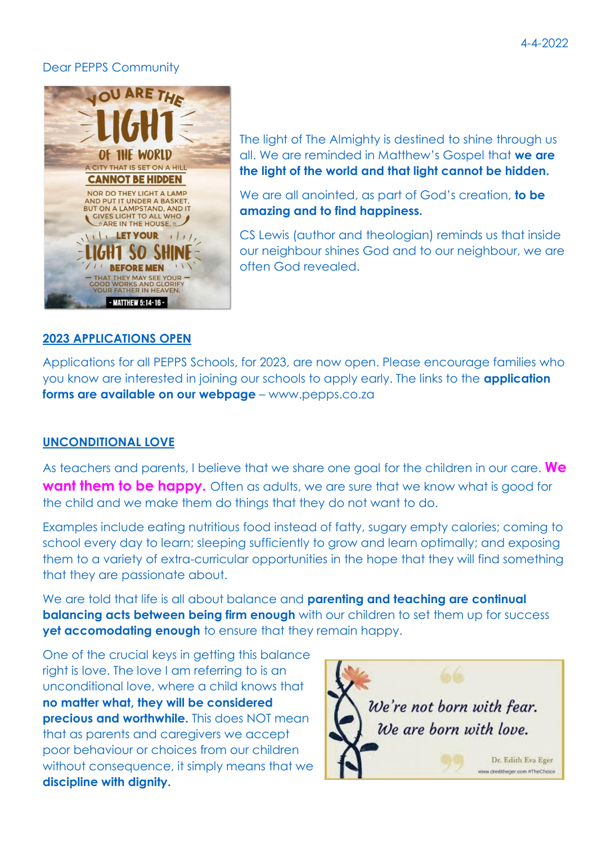#### Dear PEPPS Community



The light of The Almighty is destined to shine through us all. We are reminded in Matthew's Gospel that **we are the light of the world and that light cannot be hidden.**

We are all anointed, as part of God's creation, **to be amazing and to find happiness.** 

CS Lewis (author and theologian) reminds us that inside our neighbour shines God and to our neighbour, we are often God revealed.

## **2023 APPLICATIONS OPEN**

Applications for all PEPPS Schools, for 2023, are now open. Please encourage families who you know are interested in joining our schools to apply early. The links to the **application forms are available on our webpage** – www.pepps.co.za

## **UNCONDITIONAL LOVE**

As teachers and parents, I believe that we share one goal for the children in our care. **We want them to be happy.** Often as adults, we are sure that we know what is good for the child and we make them do things that they do not want to do.

Examples include eating nutritious food instead of fatty, sugary empty calories; coming to school every day to learn; sleeping sufficiently to grow and learn optimally; and exposing them to a variety of extra-curricular opportunities in the hope that they will find something that they are passionate about.

We are told that life is all about balance and **parenting and teaching are continual balancing acts between being firm enough** with our children to set them up for success **yet accomodating enough** to ensure that they remain happy.

One of the crucial keys in getting this balance right is love. The love I am referring to is an unconditional love, where a child knows that **no matter what, they will be considered precious and worthwhile.** This does NOT mean that as parents and caregivers we accept poor behaviour or choices from our children without consequence, it simply means that we **discipline with dignity.**

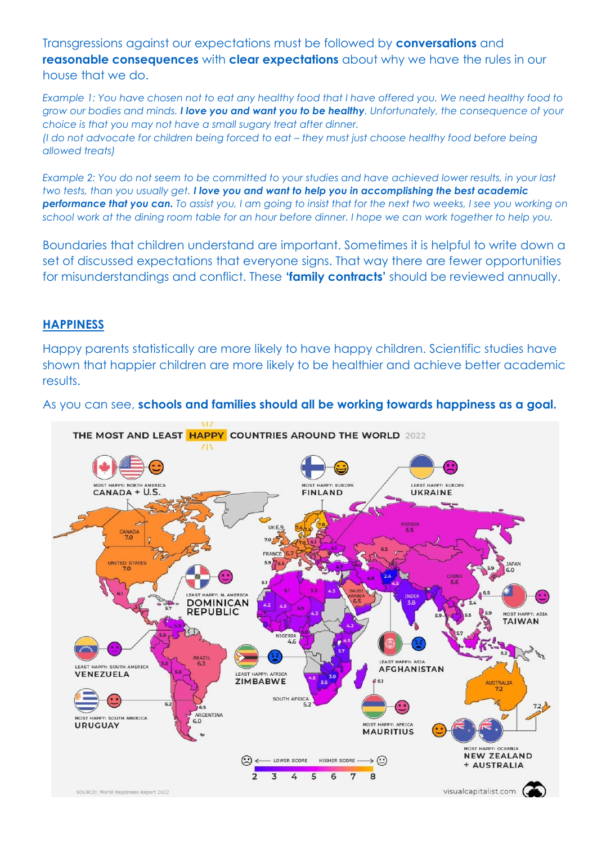Transgressions against our expectations must be followed by **conversations** and **reasonable consequences** with **clear expectations** about why we have the rules in our house that we do.

*Example 1: You have chosen not to eat any healthy food that I have offered you. We need healthy food to grow our bodies and minds. I love you and want you to be healthy. Unfortunately, the consequence of your choice is that you may not have a small sugary treat after dinner. (I do not advocate for children being forced to eat – they must just choose healthy food before being allowed treats)*

*Example 2: You do not seem to be committed to your studies and have achieved lower results, in your last two tests, than you usually get. I love you and want to help you in accomplishing the best academic performance that you can. To assist you, I am going to insist that for the next two weeks, I see you working on school work at the dining room table for an hour before dinner. I hope we can work together to help you.*

Boundaries that children understand are important. Sometimes it is helpful to write down a set of discussed expectations that everyone signs. That way there are fewer opportunities for misunderstandings and conflict. These **'family contracts'** should be reviewed annually.

## **HAPPINESS**

Happy parents statistically are more likely to have happy children. Scientific studies have shown that happier children are more likely to be healthier and achieve better academic results.



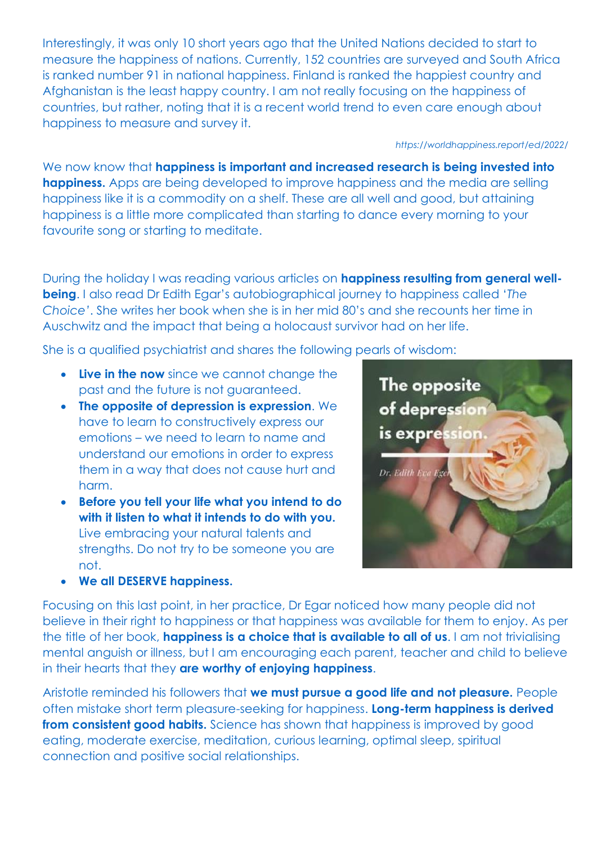Interestingly, it was only 10 short years ago that the United Nations decided to start to measure the happiness of nations. Currently, 152 countries are surveyed and South Africa is ranked number 91 in national happiness. Finland is ranked the happiest country and Afghanistan is the least happy country. I am not really focusing on the happiness of countries, but rather, noting that it is a recent world trend to even care enough about happiness to measure and survey it.

*<https://worldhappiness.report/ed/2022/>*

We now know that **happiness is important and increased research is being invested into happiness.** Apps are being developed to improve happiness and the media are selling happiness like it is a commodity on a shelf. These are all well and good, but attaining happiness is a little more complicated than starting to dance every morning to your favourite song or starting to meditate.

During the holiday I was reading various articles on **happiness resulting from general wellbeing**. I also read Dr Edith Egar's autobiographical journey to happiness called '*The Choice'*. She writes her book when she is in her mid 80's and she recounts her time in Auschwitz and the impact that being a holocaust survivor had on her life.

She is a qualified psychiatrist and shares the following pearls of wisdom:

- **Live in the now** since we cannot change the past and the future is not guaranteed.
- **The opposite of depression is expression**. We have to learn to constructively express our emotions – we need to learn to name and understand our emotions in order to express them in a way that does not cause hurt and harm.
- **Before you tell your life what you intend to do with it listen to what it intends to do with you.**  Live embracing your natural talents and strengths. Do not try to be someone you are not.



**We all DESERVE happiness.**

Focusing on this last point, in her practice, Dr Egar noticed how many people did not believe in their right to happiness or that happiness was available for them to enjoy. As per the title of her book, **happiness is a choice that is available to all of us**. I am not trivialising mental anguish or illness, but I am encouraging each parent, teacher and child to believe in their hearts that they **are worthy of enjoying happiness**.

Aristotle reminded his followers that **we must pursue a good life and not pleasure.** People often mistake short term pleasure-seeking for happiness. **Long-term happiness is derived from consistent good habits.** Science has shown that happiness is improved by good eating, moderate exercise, meditation, curious learning, optimal sleep, spiritual connection and positive social relationships.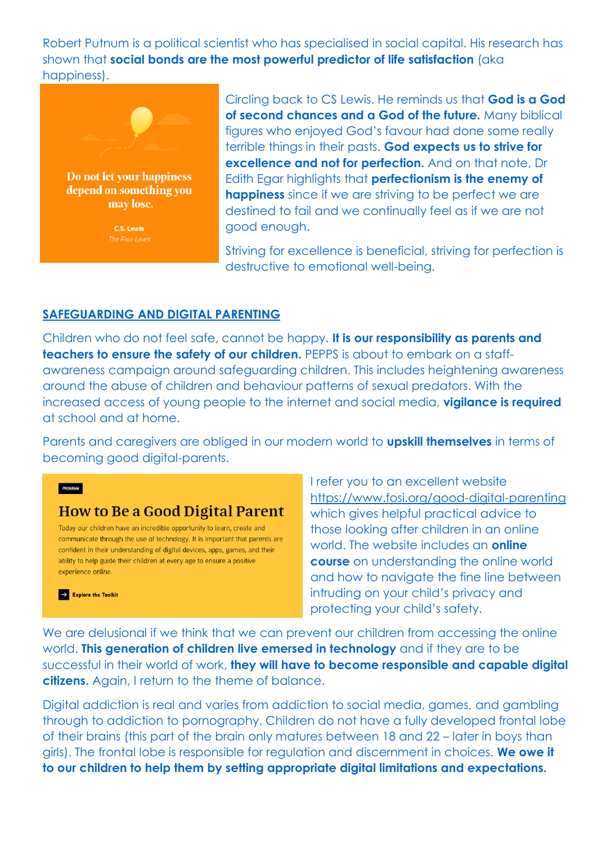Robert Putnum is a political scientist who has specialised in social capital. His research has shown that **social bonds are the most powerful predictor of life satisfaction** (aka happiness).



may lose.

C.S. Lewis

Circling back to CS Lewis. He reminds us that **God is a God of second chances and a God of the future.** Many biblical figures who enjoyed God's favour had done some really terrible things in their pasts. **God expects us to strive for excellence and not for perfection.** And on that note, Dr Edith Egar highlights that **perfectionism is the enemy of happiness** since if we are striving to be perfect we are destined to fail and we continually feel as if we are not good enough.

Striving for excellence is beneficial, striving for perfection is destructive to emotional well-being.

# **SAFEGUARDING AND DIGITAL PARENTING**

Children who do not feel safe, cannot be happy. **It is our responsibility as parents and teachers to ensure the safety of our children.** PEPPS is about to embark on a staffawareness campaign around safeguarding children. This includes heightening awareness around the abuse of children and behaviour patterns of sexual predators. With the increased access of young people to the internet and social media, **vigilance is required** at school and at home.

Parents and caregivers are obliged in our modern world to **upskill themselves** in terms of becoming good digital-parents.

# **How to Be a Good Digital Parent**

PROGRAM

 $\rightarrow$  Explore the Toolkit

Today our children have an incredible opportunity to learn, create and communicate through the use of technology. It is important that parents are confident in their understanding of digital devices, apps, games, and their ability to help guide their children at every age to ensure a positive experience online.

I refer you to an excellent website <https://www.fosi.org/good-digital-parenting> which gives helpful practical advice to those looking after children in an online world. The website includes an **online course** on understanding the online world and how to navigate the fine line between intruding on your child's privacy and protecting your child's safety.

We are delusional if we think that we can prevent our children from accessing the online world. **This generation of children live emersed in technology** and if they are to be successful in their world of work, **they will have to become responsible and capable digital citizens.** Again, I return to the theme of balance.

Digital addiction is real and varies from addiction to social media, games, and gambling through to addiction to pornography. Children do not have a fully developed frontal lobe of their brains (this part of the brain only matures between 18 and 22 – later in boys than girls). The frontal lobe is responsible for regulation and discernment in choices. **We owe it to our children to help them by setting appropriate digital limitations and expectations.**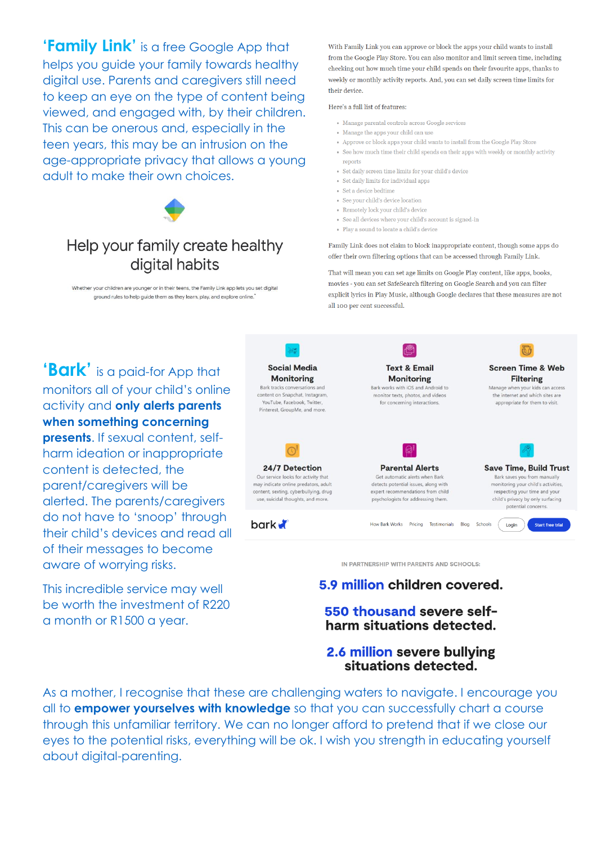'Family Link' is a free Google App that helps you quide your family towards healthy digital use. Parents and caregivers still need to keep an eye on the type of content being viewed, and engaged with, by their children. This can be onerous and, especially in the teen years, this may be an intrusion on the age-appropriate privacy that allows a young adult to make their own choices.



# Help your family create healthy digital habits

Whether your children are younger or in their teens, the Family Link app lets you set digital ground rules to help quide them as they learn, play, and explore online.

With Family Link you can approve or block the apps your child wants to install from the Google Play Store. You can also monitor and limit screen time, including checking out how much time your child spends on their fayourite apps, thanks to weekly or monthly activity reports. And, you can set daily screen time limits for their device.

#### Here's a full list of features:

- · Manage parental controls across Google services
- Manage the apps your child can use
- . Approve or block apps your child wants to install from the Google Play Store • See how much time their child spends on their apps with weekly or monthly activity
- reports
- Set daily screen time limits for your child's device
- Set daily limits for individual apps
- . Set a device hedtime
- See your child's device location
- Remotely lock your child's device
- See all devices where your child's account is signed-in
- $\bullet$  Play a sound to locate a child's device

Family Link does not claim to block inappropriate content, though some apps do offer their own filtering options that can be accessed through Family Link.

That will mean you can set age limits on Google Play content, like apps, books, movies - you can set SafeSearch filtering on Google Search and you can filter explicit lyrics in Play Music, although Google declares that these measures are not all 100 per cent successful

"**Bark'** is a paid-for App that monitors all of your child's online activity and only alerts parents when something concerning

presents. If sexual content, selfharm ideation or inappropriate content is detected, the parent/caregivers will be alerted. The parents/caregivers do not have to 'snoop' through their child's devices and read all of their messages to become aware of worrying risks.

This incredible service may well be worth the investment of R220 a month or R1500 a year.



IN PARTNERSHIP WITH PARENTS AND SCHOOLS:

# 5.9 million children covered.

## 550 thousand severe selfharm situations detected.

## 2.6 million severe bullying situations detected.

As a mother, I recognise that these are challenging waters to navigate. I encourage you all to **empower yourselves with knowledge** so that you can successfully chart a course through this unfamiliar territory. We can no longer afford to pretend that if we close our eyes to the potential risks, everything will be ok. I wish you strength in educating yourself about digital-parenting.